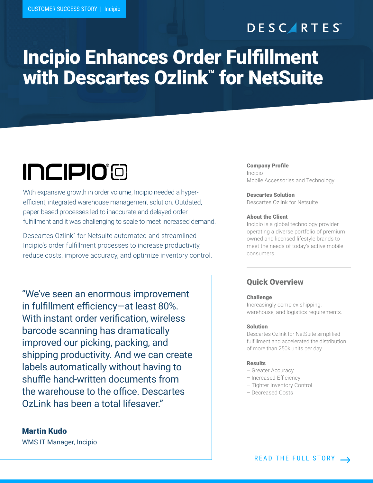# **DESCARTES**

# Incipio Enhances Order Fulfillment with Descartes Ozlink™ for NetSuite

# **INCIPIO®**

With expansive growth in order volume, Incipio needed a hyperefficient, integrated warehouse management solution. Outdated, paper-based processes led to inaccurate and delayed order fulfillment and it was challenging to scale to meet increased demand.

Descartes Ozlink™ for Netsuite automated and streamlined Incipio's order fulfillment processes to increase productivity, reduce costs, improve accuracy, and optimize inventory control.

"We've seen an enormous improvement in fulfillment efficiency—at least 80%. With instant order verification, wireless barcode scanning has dramatically improved our picking, packing, and shipping productivity. And we can create labels automatically without having to shuffle hand-written documents from the warehouse to the office. Descartes OzLink has been a total lifesaver."

Martin Kudo

Company Profile Incipio Mobile Accessories and Technology

Descartes Solution Descartes Ozlink for Netsuite

### About the Client

Incipio is a global technology provider operating a diverse portfolio of premium owned and licensed lifestyle brands to meet the needs of today's active mobile consumers.

## Quick Overview

### Challenge

Increasingly complex shipping, warehouse, and logistics requirements.

### Solution

Descartes Ozlink for NetSuite simplified fulfillment and accelerated the distribution of more than 250k units per day.

### Results

- Greater Accuracy
- Increased Efficiency
- Tighter Inventory Control
- Decreased Costs

WMS IT Manager, Incipio